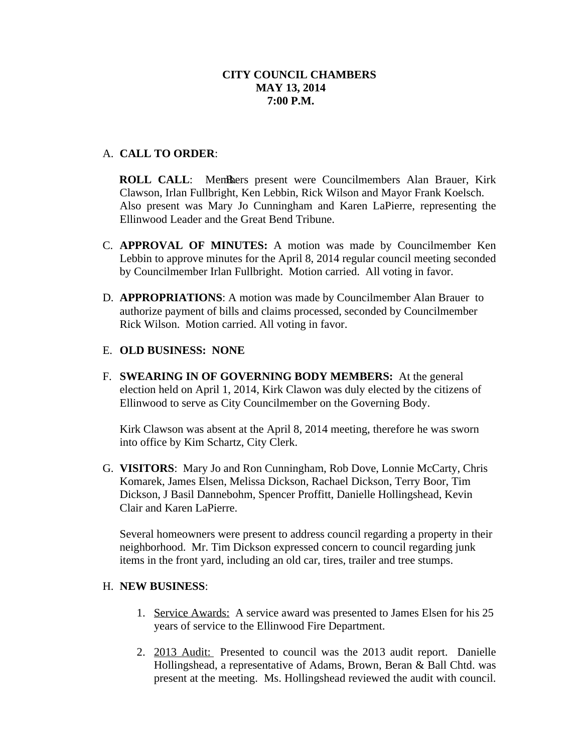### A. **CALL TO ORDER**:

**ROLL CALL:** Members present were Councilmembers Alan Brauer, Kirk Clawson, Irlan Fullbright, Ken Lebbin, Rick Wilson and Mayor Frank Koelsch. Also present was Mary Jo Cunningham and Karen LaPierre, representing the Ellinwood Leader and the Great Bend Tribune.

- C. **APPROVAL OF MINUTES:** A motion was made by Councilmember Ken Lebbin to approve minutes for the April 8, 2014 regular council meeting seconded by Councilmember Irlan Fullbright. Motion carried. All voting in favor.
- D. **APPROPRIATIONS**: A motion was made by Councilmember Alan Brauer to authorize payment of bills and claims processed, seconded by Councilmember Rick Wilson. Motion carried. All voting in favor.

#### E. **OLD BUSINESS: NONE**

F. **SWEARING IN OF GOVERNING BODY MEMBERS:** At the general election held on April 1, 2014, Kirk Clawon was duly elected by the citizens of Ellinwood to serve as City Councilmember on the Governing Body.

Kirk Clawson was absent at the April 8, 2014 meeting, therefore he was sworn into office by Kim Schartz, City Clerk.

G. **VISITORS**: Mary Jo and Ron Cunningham, Rob Dove, Lonnie McCarty, Chris Komarek, James Elsen, Melissa Dickson, Rachael Dickson, Terry Boor, Tim Dickson, J Basil Dannebohm, Spencer Proffitt, Danielle Hollingshead, Kevin Clair and Karen LaPierre.

Several homeowners were present to address council regarding a property in their neighborhood. Mr. Tim Dickson expressed concern to council regarding junk items in the front yard, including an old car, tires, trailer and tree stumps.

### H. **NEW BUSINESS**:

- 1. Service Awards: A service award was presented to James Elsen for his 25 years of service to the Ellinwood Fire Department.
- 2. 2013 Audit: Presented to council was the 2013 audit report. Danielle Hollingshead, a representative of Adams, Brown, Beran & Ball Chtd. was present at the meeting. Ms. Hollingshead reviewed the audit with council.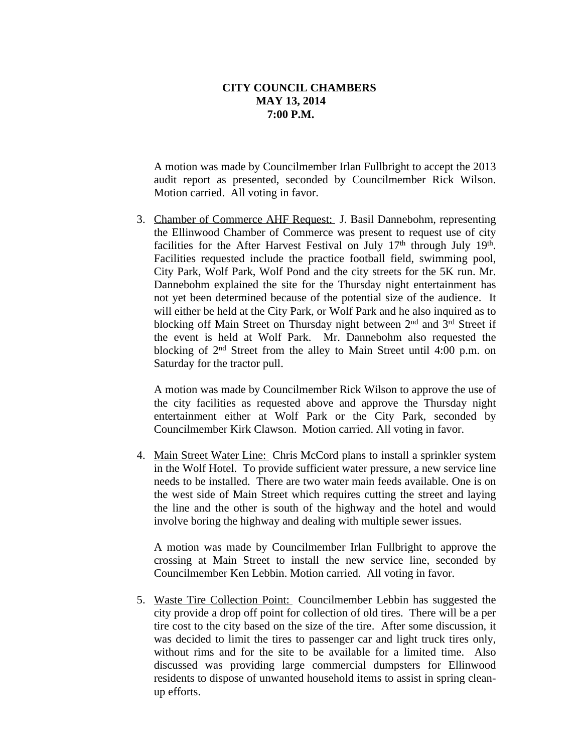A motion was made by Councilmember Irlan Fullbright to accept the 2013 audit report as presented, seconded by Councilmember Rick Wilson. Motion carried. All voting in favor.

3. Chamber of Commerce AHF Request: J. Basil Dannebohm, representing the Ellinwood Chamber of Commerce was present to request use of city facilities for the After Harvest Festival on July 17<sup>th</sup> through July 19<sup>th</sup>. Facilities requested include the practice football field, swimming pool, City Park, Wolf Park, Wolf Pond and the city streets for the 5K run. Mr. Dannebohm explained the site for the Thursday night entertainment has not yet been determined because of the potential size of the audience. It will either be held at the City Park, or Wolf Park and he also inquired as to blocking off Main Street on Thursday night between 2<sup>nd</sup> and 3<sup>rd</sup> Street if the event is held at Wolf Park. Mr. Dannebohm also requested the blocking of 2<sup>nd</sup> Street from the alley to Main Street until 4:00 p.m. on Saturday for the tractor pull.

A motion was made by Councilmember Rick Wilson to approve the use of the city facilities as requested above and approve the Thursday night entertainment either at Wolf Park or the City Park, seconded by Councilmember Kirk Clawson. Motion carried. All voting in favor.

4. Main Street Water Line: Chris McCord plans to install a sprinkler system in the Wolf Hotel. To provide sufficient water pressure, a new service line needs to be installed. There are two water main feeds available. One is on the west side of Main Street which requires cutting the street and laying the line and the other is south of the highway and the hotel and would involve boring the highway and dealing with multiple sewer issues.

A motion was made by Councilmember Irlan Fullbright to approve the crossing at Main Street to install the new service line, seconded by Councilmember Ken Lebbin. Motion carried. All voting in favor.

5. Waste Tire Collection Point: Councilmember Lebbin has suggested the city provide a drop off point for collection of old tires. There will be a per tire cost to the city based on the size of the tire. After some discussion, it was decided to limit the tires to passenger car and light truck tires only, without rims and for the site to be available for a limited time. Also discussed was providing large commercial dumpsters for Ellinwood residents to dispose of unwanted household items to assist in spring cleanup efforts.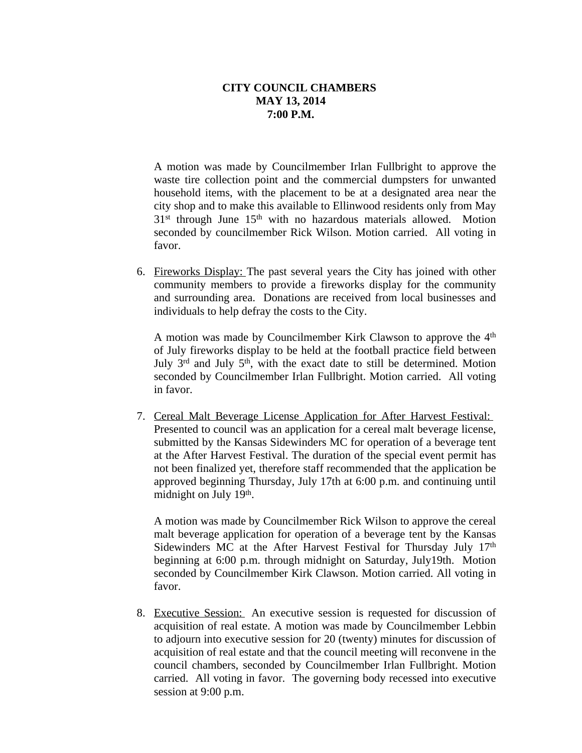A motion was made by Councilmember Irlan Fullbright to approve the waste tire collection point and the commercial dumpsters for unwanted household items, with the placement to be at a designated area near the city shop and to make this available to Ellinwood residents only from May 31st through June 15th with no hazardous materials allowed. Motion seconded by councilmember Rick Wilson. Motion carried. All voting in favor.

6. Fireworks Display: The past several years the City has joined with other community members to provide a fireworks display for the community and surrounding area. Donations are received from local businesses and individuals to help defray the costs to the City.

A motion was made by Councilmember Kirk Clawson to approve the 4<sup>th</sup> of July fireworks display to be held at the football practice field between July 3<sup>rd</sup> and July 5<sup>th</sup>, with the exact date to still be determined. Motion seconded by Councilmember Irlan Fullbright. Motion carried. All voting in favor.

7. Cereal Malt Beverage License Application for After Harvest Festival: Presented to council was an application for a cereal malt beverage license, submitted by the Kansas Sidewinders MC for operation of a beverage tent at the After Harvest Festival. The duration of the special event permit has not been finalized yet, therefore staff recommended that the application be approved beginning Thursday, July 17th at 6:00 p.m. and continuing until midnight on July 19<sup>th</sup>.

A motion was made by Councilmember Rick Wilson to approve the cereal malt beverage application for operation of a beverage tent by the Kansas Sidewinders MC at the After Harvest Festival for Thursday July 17th beginning at 6:00 p.m. through midnight on Saturday, July19th. Motion seconded by Councilmember Kirk Clawson. Motion carried. All voting in favor.

8. Executive Session: An executive session is requested for discussion of acquisition of real estate. A motion was made by Councilmember Lebbin to adjourn into executive session for 20 (twenty) minutes for discussion of acquisition of real estate and that the council meeting will reconvene in the council chambers, seconded by Councilmember Irlan Fullbright. Motion carried. All voting in favor. The governing body recessed into executive session at 9:00 p.m.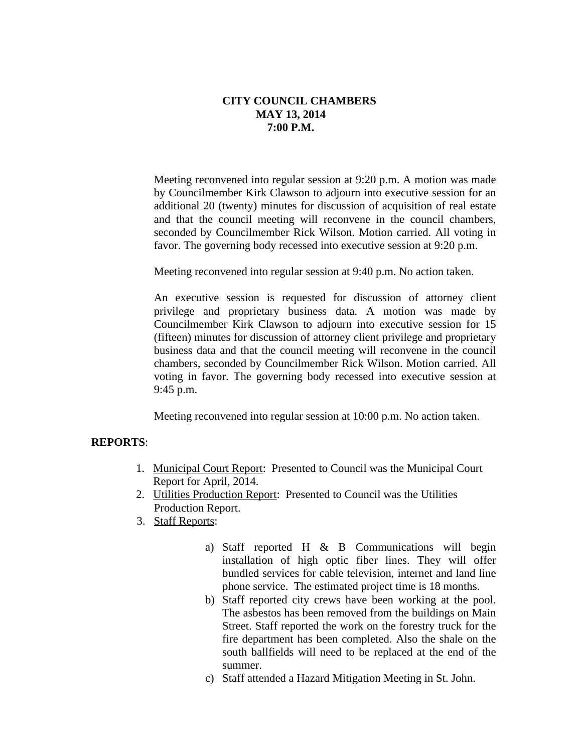Meeting reconvened into regular session at 9:20 p.m. A motion was made by Councilmember Kirk Clawson to adjourn into executive session for an additional 20 (twenty) minutes for discussion of acquisition of real estate and that the council meeting will reconvene in the council chambers, seconded by Councilmember Rick Wilson. Motion carried. All voting in favor. The governing body recessed into executive session at 9:20 p.m.

Meeting reconvened into regular session at 9:40 p.m. No action taken.

An executive session is requested for discussion of attorney client privilege and proprietary business data. A motion was made by Councilmember Kirk Clawson to adjourn into executive session for 15 (fifteen) minutes for discussion of attorney client privilege and proprietary business data and that the council meeting will reconvene in the council chambers, seconded by Councilmember Rick Wilson. Motion carried. All voting in favor. The governing body recessed into executive session at 9:45 p.m.

Meeting reconvened into regular session at 10:00 p.m. No action taken.

#### **REPORTS**:

- 1. Municipal Court Report: Presented to Council was the Municipal Court Report for April, 2014.
- 2. Utilities Production Report: Presented to Council was the Utilities Production Report.
- 3. Staff Reports:
	- a) Staff reported H & B Communications will begin installation of high optic fiber lines. They will offer bundled services for cable television, internet and land line phone service. The estimated project time is 18 months.
	- b) Staff reported city crews have been working at the pool. The asbestos has been removed from the buildings on Main Street. Staff reported the work on the forestry truck for the fire department has been completed. Also the shale on the south ballfields will need to be replaced at the end of the summer.
	- c) Staff attended a Hazard Mitigation Meeting in St. John.